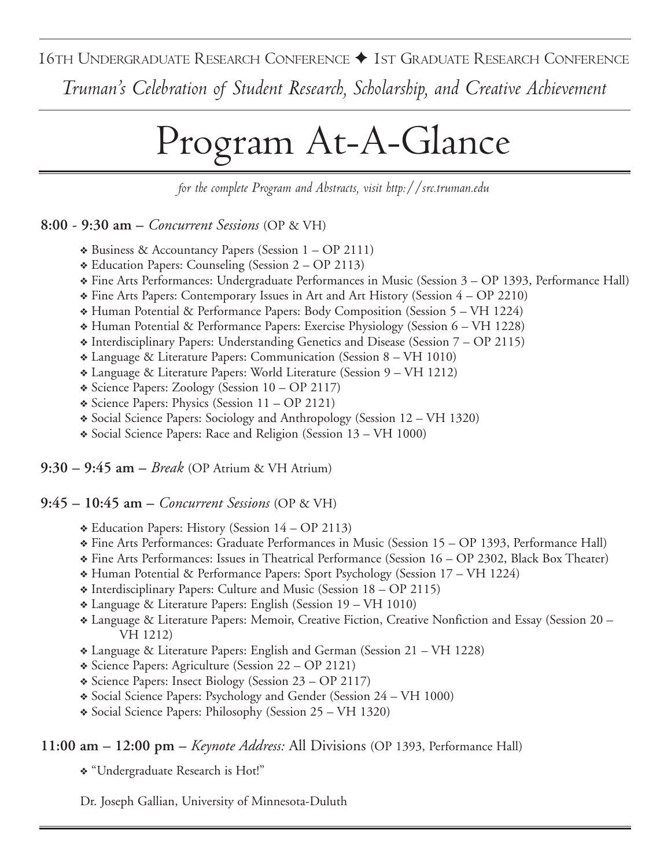16TH UNDERGRADUATE RESEARCH CONFERENCE ✦ 1ST GRADUATE RESEARCH CONFERENCE

*Truman's Celebration of Student Research, Scholarship, and Creative Achievement*

# Program At-A-Glance

*for the complete Program and Abstracts, visit http://src.truman.edu*

**8:00 - 9:30 am –** *Concurrent Sessions* (OP & VH)

- ❖ Business & Accountancy Papers (Session 1 OP 2111)
- ❖ Education Papers: Counseling (Session 2 OP 2113)
- ❖ Fine Arts Performances: Undergraduate Performances in Music (Session 3 OP 1393, Performance Hall)
- ❖ Fine Arts Papers: Contemporary Issues in Art and Art History (Session 4 OP 2210)
- ❖ Human Potential & Performance Papers: Body Composition (Session 5 VH 1224)
- ❖ Human Potential & Performance Papers: Exercise Physiology (Session 6 VH 1228)
- ❖ Interdisciplinary Papers: Understanding Genetics and Disease (Session 7 OP 2115)
- ❖ Language & Literature Papers: Communication (Session 8 VH 1010)
- ❖ Language & Literature Papers: World Literature (Session 9 VH 1212)
- ❖ Science Papers: Zoology (Session 10 OP 2117)
- ❖ Science Papers: Physics (Session 11 OP 2121)
- ❖ Social Science Papers: Sociology and Anthropology (Session 12 VH 1320)
- ❖ Social Science Papers: Race and Religion (Session 13 VH 1000)

**9:30 – 9:45 am –** *Break* (OP Atrium & VH Atrium)

**9:45 – 10:45 am –** *Concurrent Sessions* (OP & VH)

- ❖ Education Papers: History (Session 14 OP 2113)
- ❖ Fine Arts Performances: Graduate Performances in Music (Session 15 OP 1393, Performance Hall)
- ❖ Fine Arts Performances: Issues in Theatrical Performance (Session 16 OP 2302, Black Box Theater)
- ❖ Human Potential & Performance Papers: Sport Psychology (Session 17 VH 1224)
- ❖ Interdisciplinary Papers: Culture and Music (Session 18 OP 2115)
- ❖ Language & Literature Papers: English (Session 19 VH 1010)
- ❖ Language & Literature Papers: Memoir, Creative Fiction, Creative Nonfiction and Essay (Session 20 VH 1212)
- ❖ Language & Literature Papers: English and German (Session 21 VH 1228)
- ❖ Science Papers: Agriculture (Session 22 OP 2121)
- ❖ Science Papers: Insect Biology (Session 23 OP 2117)
- ❖ Social Science Papers: Psychology and Gender (Session 24 VH 1000)
- ❖ Social Science Papers: Philosophy (Session 25 VH 1320)

# **11:00 am – 12:00 pm –** *Keynote Address:* All Divisions (OP 1393, Performance Hall)

❖ "Undergraduate Research is Hot!"

Dr. Joseph Gallian, University of Minnesota-Duluth